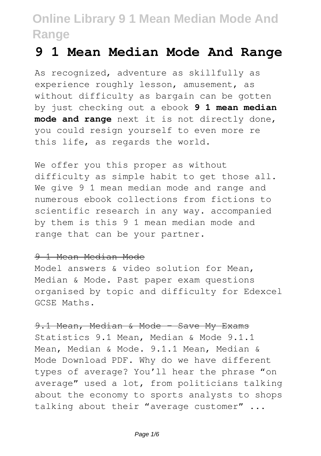## **9 1 Mean Median Mode And Range**

As recognized, adventure as skillfully as experience roughly lesson, amusement, as without difficulty as bargain can be gotten by just checking out a ebook **9 1 mean median mode and range** next it is not directly done, you could resign yourself to even more re this life, as regards the world.

We offer you this proper as without difficulty as simple habit to get those all. We give 9 1 mean median mode and range and numerous ebook collections from fictions to scientific research in any way. accompanied by them is this 9 1 mean median mode and range that can be your partner.

#### 9 1 Mean Median Mode

Model answers & video solution for Mean, Median & Mode. Past paper exam questions organised by topic and difficulty for Edexcel GCSE Maths.

### 9.1 Mean, Median & Mode - Save My Exams

Statistics 9.1 Mean, Median & Mode 9.1.1 Mean, Median & Mode. 9.1.1 Mean, Median & Mode Download PDF. Why do we have different types of average? You'll hear the phrase "on average" used a lot, from politicians talking about the economy to sports analysts to shops talking about their "average customer" ...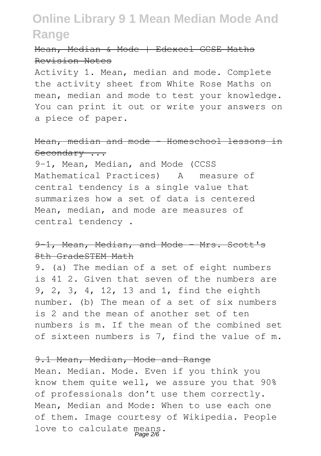## Mean, Median & Mode | Edexcel GCSE Maths Revision Notes

Activity 1. Mean, median and mode. Complete the activity sheet from White Rose Maths on mean, median and mode to test your knowledge. You can print it out or write your answers on a piece of paper.

## Mean, median and mode - Homeschool lessons in Secondary ...

9-1, Mean, Median, and Mode (CCSS Mathematical Practices) A measure of central tendency is a single value that summarizes how a set of data is centered Mean, median, and mode are measures of central tendency .

### 9-1, Mean, Median, and Mode - Mrs. Scott's 8th GradeSTEM Math

9. (a) The median of a set of eight numbers is 41 2. Given that seven of the numbers are 9, 2, 3, 4, 12, 13 and 1, find the eighth number. (b) The mean of a set of six numbers is 2 and the mean of another set of ten numbers is m. If the mean of the combined set of sixteen numbers is 7, find the value of m.

#### 9.1 Mean, Median, Mode and Range

Mean. Median. Mode. Even if you think you know them quite well, we assure you that 90% of professionals don't use them correctly. Mean, Median and Mode: When to use each one of them. Image courtesy of Wikipedia. People love to calculate means.<br>Page 2/6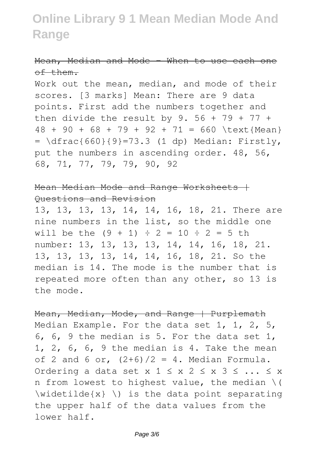## Mean, Median and Mode - When to use each one  $of +$ hem.

Work out the mean, median, and mode of their scores. [3 marks] Mean: There are 9 data points. First add the numbers together and then divide the result by  $9.56 + 79 + 77 +$  $48 + 90 + 68 + 79 + 92 + 71 = 660 \text{ \texttt{Next}}$  $= \left\{ \frac{660}{9} \right\} = 73.3$  (1 dp) Median: Firstly, put the numbers in ascending order. 48, 56, 68, 71, 77, 79, 79, 90, 92

### Mean Median Mode and Range Worksheets + Questions and Revision

13, 13, 13, 13, 14, 14, 16, 18, 21. There are nine numbers in the list, so the middle one will be the  $(9 + 1) \div 2 = 10 \div 2 = 5$  th number: 13, 13, 13, 13, 14, 14, 16, 18, 21. 13, 13, 13, 13, 14, 14, 16, 18, 21. So the median is 14. The mode is the number that is repeated more often than any other, so 13 is the mode.

## Mean, Median, Mode, and Range | Purplemath Median Example. For the data set 1, 1, 2, 5, 6, 6, 9 the median is 5. For the data set 1, 1, 2, 6, 6, 9 the median is 4. Take the mean of 2 and 6 or,  $(2+6)/2 = 4$ . Median Formula. Ordering a data set x  $1 \le x$  2  $\le x$  3  $\le ... \le x$ n from lowest to highest value, the median \(  $\widehat{x} \setminus \widehat{z}$   $\setminus$  is the data point separating the upper half of the data values from the lower half.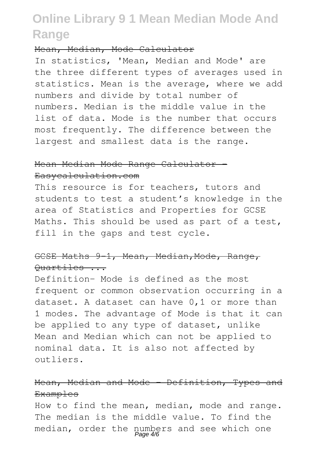#### Mean, Median, Mode Calculator

In statistics, 'Mean, Median and Mode' are the three different types of averages used in statistics. Mean is the average, where we add numbers and divide by total number of numbers. Median is the middle value in the list of data. Mode is the number that occurs most frequently. The difference between the largest and smallest data is the range.

## Mean Median Mode Range Calculator -Easycalculation.com

This resource is for teachers, tutors and students to test a student's knowledge in the area of Statistics and Properties for GCSE Maths. This should be used as part of a test, fill in the gaps and test cycle.

## GCSE Maths 9-1, Mean, Median, Mode, Range, Quartiles ...

Definition- Mode is defined as the most frequent or common observation occurring in a dataset. A dataset can have 0,1 or more than 1 modes. The advantage of Mode is that it can be applied to any type of dataset, unlike Mean and Median which can not be applied to nominal data. It is also not affected by outliers.

## Mean, Median and Mode - Definition, Types and **Examples**

How to find the mean, median, mode and range. The median is the middle value. To find the median, order the numbers and see which one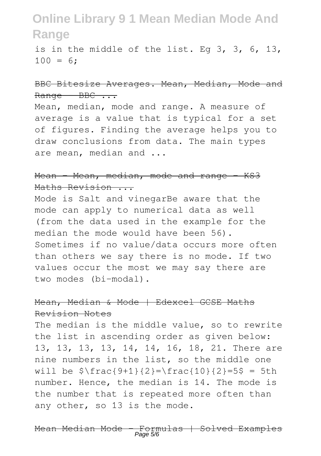is in the middle of the list. Eg 3, 3, 6, 13,  $100 = 6$ :

## BBC Bitesize Averages. Mean, Median, Mode and  $Range - BBC ...$

Mean, median, mode and range. A measure of average is a value that is typical for a set of figures. Finding the average helps you to draw conclusions from data. The main types are mean, median and ...

## Mean - Mean, median, mode and range - KS3 Maths Revision ...

Mode is Salt and vinegarBe aware that the mode can apply to numerical data as well (from the data used in the example for the median the mode would have been 56). Sometimes if no value/data occurs more often than others we say there is no mode. If two values occur the most we may say there are two modes (bi-modal).

## Mean, Median & Mode | Edexcel GCSE Maths Revision Notes

The median is the middle value, so to rewrite the list in ascending order as given below: 13, 13, 13, 13, 14, 14, 16, 18, 21. There are nine numbers in the list, so the middle one will be  $\frac{9+1}{2}=\frac{10}{2}=5$  = 5th number. Hence, the median is 14. The mode is the number that is repeated more often than any other, so 13 is the mode.

Mean Median Mode - Formulas | Solved Examples Page 5/6